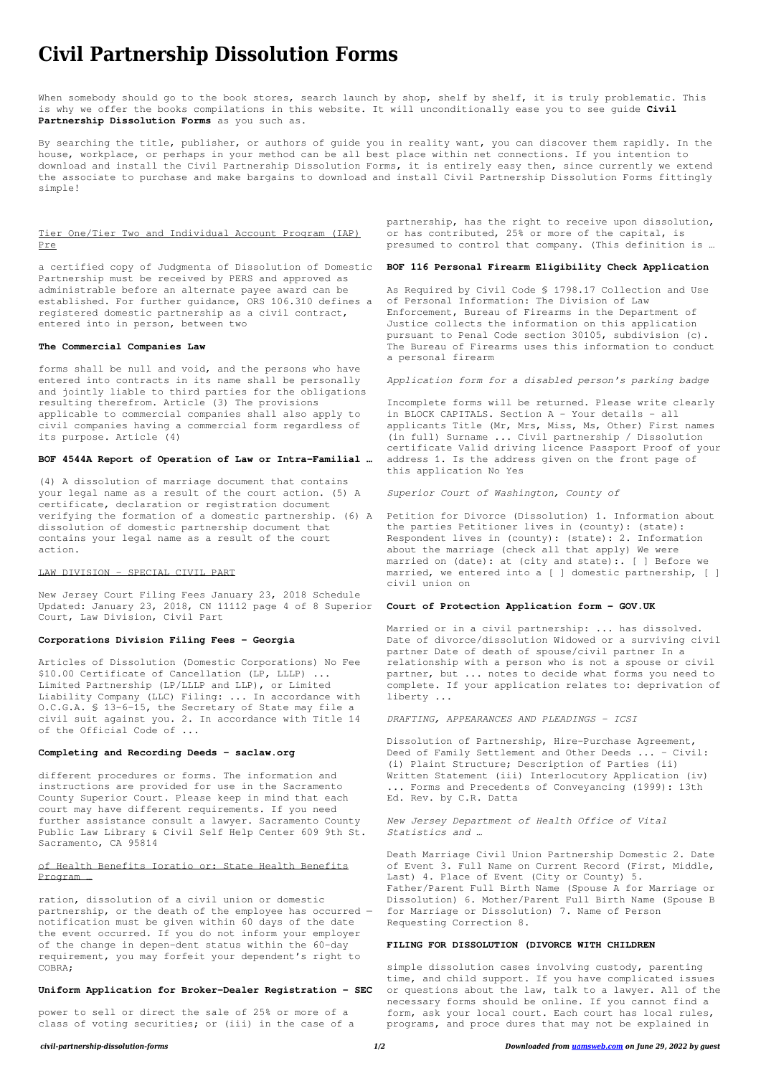# **Civil Partnership Dissolution Forms**

When somebody should go to the book stores, search launch by shop, shelf by shelf, it is truly problematic. This is why we offer the books compilations in this website. It will unconditionally ease you to see guide **Civil Partnership Dissolution Forms** as you such as.

By searching the title, publisher, or authors of guide you in reality want, you can discover them rapidly. In the house, workplace, or perhaps in your method can be all best place within net connections. If you intention to download and install the Civil Partnership Dissolution Forms, it is entirely easy then, since currently we extend the associate to purchase and make bargains to download and install Civil Partnership Dissolution Forms fittingly simple!

## Tier One/Tier Two and Individual Account Program (IAP) Pre

a certified copy of Judgmenta of Dissolution of Domestic Partnership must be received by PERS and approved as administrable before an alternate payee award can be established. For further guidance, ORS 106.310 defines a registered domestic partnership as a civil contract, entered into in person, between two

#### **The Commercial Companies Law**

forms shall be null and void, and the persons who have entered into contracts in its name shall be personally and jointly liable to third parties for the obligations resulting therefrom. Article (3) The provisions applicable to commercial companies shall also apply to civil companies having a commercial form regardless of its purpose. Article (4)

### **BOF 4544A Report of Operation of Law or Intra-Familial …**

(4) A dissolution of marriage document that contains your legal name as a result of the court action. (5) A certificate, declaration or registration document verifying the formation of a domestic partnership. (6) A Petition for Divorce (Dissolution) 1. Information about dissolution of domestic partnership document that contains your legal name as a result of the court action.

#### LAW DIVISION - SPECIAL CIVIL PART

New Jersey Court Filing Fees January 23, 2018 Schedule Updated: January 23, 2018, CN 11112 page 4 of 8 Superior **Court of Protection Application form - GOV.UK** Court, Law Division, Civil Part

#### **Corporations Division Filing Fees - Georgia**

Articles of Dissolution (Domestic Corporations) No Fee \$10.00 Certificate of Cancellation (LP, LLLP) ... Limited Partnership (LP/LLLP and LLP), or Limited Liability Company (LLC) Filing: ... In accordance with O.C.G.A. § 13-6-15, the Secretary of State may file a civil suit against you. 2. In accordance with Title 14 of the Official Code of ...

#### **Completing and Recording Deeds - saclaw.org**

different procedures or forms. The information and instructions are provided for use in the Sacramento County Superior Court. Please keep in mind that each court may have different requirements. If you need

further assistance consult a lawyer. Sacramento County Public Law Library & Civil Self Help Center 609 9th St. Sacramento, CA 95814

# of Health Benefits Ioratio or: State Health Benefits Program …

ration, dissolution of a civil union or domestic partnership, or the death of the employee has occurred notification must be given within 60 days of the date the event occurred. If you do not inform your employer of the change in depen-dent status within the 60-day requirement, you may forfeit your dependent's right to COBRA;

#### **Uniform Application for Broker-Dealer Registration - SEC**

power to sell or direct the sale of 25% or more of a class of voting securities; or (iii) in the case of a partnership, has the right to receive upon dissolution, or has contributed, 25% or more of the capital, is presumed to control that company. (This definition is …

#### **BOF 116 Personal Firearm Eligibility Check Application**

As Required by Civil Code § 1798.17 Collection and Use of Personal Information: The Division of Law Enforcement, Bureau of Firearms in the Department of Justice collects the information on this application pursuant to Penal Code section 30105, subdivision (c). The Bureau of Firearms uses this information to conduct a personal firearm

*Application form for a disabled person's parking badge*

Incomplete forms will be returned. Please write clearly in BLOCK CAPITALS. Section A - Your details - all applicants Title (Mr, Mrs, Miss, Ms, Other) First names (in full) Surname ... Civil partnership / Dissolution certificate Valid driving licence Passport Proof of your address 1. Is the address given on the front page of this application No Yes

*Superior Court of Washington, County of*

the parties Petitioner lives in (county): (state): Respondent lives in (county): (state): 2. Information about the marriage (check all that apply) We were married on (date): at (city and state):. [ ] Before we married, we entered into a [ ] domestic partnership, [ ] civil union on

Married or in a civil partnership: ... has dissolved. Date of divorce/dissolution Widowed or a surviving civil partner Date of death of spouse/civil partner In a relationship with a person who is not a spouse or civil partner, but ... notes to decide what forms you need to complete. If your application relates to: deprivation of liberty ...

*DRAFTING, APPEARANCES AND PLEADINGS - ICSI*

Dissolution of Partnership, Hire-Purchase Agreement, Deed of Family Settlement and Other Deeds ... – Civil: (i) Plaint Structure; Description of Parties (ii) Written Statement (iii) Interlocutory Application (iv) ... Forms and Precedents of Conveyancing (1999): 13th Ed. Rev. by C.R. Datta

*New Jersey Department of Health Office of Vital Statistics and …*

Death Marriage Civil Union Partnership Domestic 2. Date of Event 3. Full Name on Current Record (First, Middle, Last) 4. Place of Event (City or County) 5. Father/Parent Full Birth Name (Spouse A for Marriage or Dissolution) 6. Mother/Parent Full Birth Name (Spouse B for Marriage or Dissolution) 7. Name of Person Requesting Correction 8.

### **FILING FOR DISSOLUTION (DIVORCE WITH CHILDREN**

simple dissolution cases involving custody, parenting time, and child support. If you have complicated issues or questions about the law, talk to a lawyer. All of the necessary forms should be online. If you cannot find a form, ask your local court. Each court has local rules, programs, and proce dures that may not be explained in